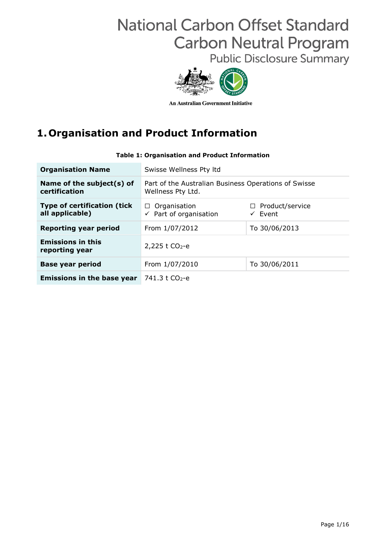# **National Carbon Offset Standard Carbon Neutral Program**

**Public Disclosure Summary** 



**An Australian Government Initiative** 

# **1.Organisation and Product Information**

| <b>Organisation Name</b>                              | Swisse Wellness Pty Itd                                                   |                                              |  |  |  |
|-------------------------------------------------------|---------------------------------------------------------------------------|----------------------------------------------|--|--|--|
| Name of the subject(s) of<br>certification            | Part of the Australian Business Operations of Swisse<br>Wellness Pty Ltd. |                                              |  |  |  |
| <b>Type of certification (tick</b><br>all applicable) | Organisation<br>$\Box$<br>$\checkmark$ Part of organisation               | $\Box$ Product/service<br>$\checkmark$ Event |  |  |  |
| <b>Reporting year period</b>                          | From 1/07/2012<br>To 30/06/2013                                           |                                              |  |  |  |
| <b>Emissions in this</b><br>reporting year            | 2,225 t $CO2 - e$                                                         |                                              |  |  |  |
| <b>Base year period</b>                               | From 1/07/2010                                                            | To 30/06/2011                                |  |  |  |
| <b>Emissions in the base year</b>                     | 741.3 t CO <sub>2</sub> -e                                                |                                              |  |  |  |

#### **Table 1: Organisation and Product Information**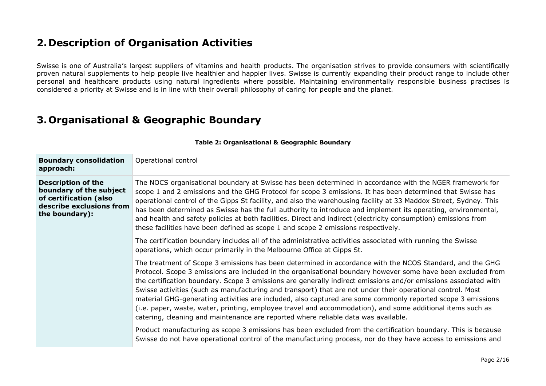### **2.Description of Organisation Activities**

Swisse is one of Australia's largest suppliers of vitamins and health products. The organisation strives to provide consumers with scientifically proven natural supplements to help people live healthier and happier lives. Swisse is currently expanding their product range to include other personal and healthcare products using natural ingredients where possible. Maintaining environmentally responsible business practises is considered a priority at Swisse and is in line with their overall philosophy of caring for people and the planet.

### **3.Organisational & Geographic Boundary**

| <b>Boundary consolidation</b><br>approach:                                                                                   | Operational control                                                                                                                                                                                                                                                                                                                                                                                                                                                                                                                                                                                                                                                                                                                                                          |
|------------------------------------------------------------------------------------------------------------------------------|------------------------------------------------------------------------------------------------------------------------------------------------------------------------------------------------------------------------------------------------------------------------------------------------------------------------------------------------------------------------------------------------------------------------------------------------------------------------------------------------------------------------------------------------------------------------------------------------------------------------------------------------------------------------------------------------------------------------------------------------------------------------------|
| <b>Description of the</b><br>boundary of the subject<br>of certification (also<br>describe exclusions from<br>the boundary): | The NOCS organisational boundary at Swisse has been determined in accordance with the NGER framework for<br>scope 1 and 2 emissions and the GHG Protocol for scope 3 emissions. It has been determined that Swisse has<br>operational control of the Gipps St facility, and also the warehousing facility at 33 Maddox Street, Sydney. This<br>has been determined as Swisse has the full authority to introduce and implement its operating, environmental,<br>and health and safety policies at both facilities. Direct and indirect (electricity consumption) emissions from<br>these facilities have been defined as scope 1 and scope 2 emissions respectively.                                                                                                         |
|                                                                                                                              | The certification boundary includes all of the administrative activities associated with running the Swisse<br>operations, which occur primarily in the Melbourne Office at Gipps St.                                                                                                                                                                                                                                                                                                                                                                                                                                                                                                                                                                                        |
|                                                                                                                              | The treatment of Scope 3 emissions has been determined in accordance with the NCOS Standard, and the GHG<br>Protocol. Scope 3 emissions are included in the organisational boundary however some have been excluded from<br>the certification boundary. Scope 3 emissions are generally indirect emissions and/or emissions associated with<br>Swisse activities (such as manufacturing and transport) that are not under their operational control. Most<br>material GHG-generating activities are included, also captured are some commonly reported scope 3 emissions<br>(i.e. paper, waste, water, printing, employee travel and accommodation), and some additional items such as<br>catering, cleaning and maintenance are reported where reliable data was available. |
|                                                                                                                              | Product manufacturing as scope 3 emissions has been excluded from the certification boundary. This is because<br>Swisse do not have operational control of the manufacturing process, nor do they have access to emissions and                                                                                                                                                                                                                                                                                                                                                                                                                                                                                                                                               |

**Table 2: Organisational & Geographic Boundary**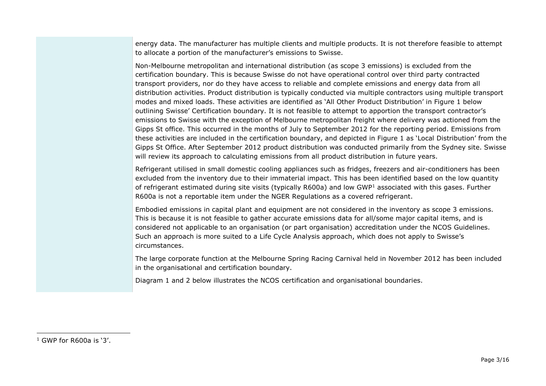energy data. The manufacturer has multiple clients and multiple products. It is not therefore feasible to attempt to allocate a portion of the manufacturer's emissions to Swisse.

Non-Melbourne metropolitan and international distribution (as scope 3 emissions) is excluded from the certification boundary. This is because Swisse do not have operational control over third party contracted transport providers, nor do they have access to reliable and complete emissions and energy data from all distribution activities. Product distribution is typically conducted via multiple contractors using multiple transport modes and mixed loads. These activities are identified as 'All Other Product Distribution' in Figure 1 below outlining Swisse' Certification boundary. It is not feasible to attempt to apportion the transport contractor's emissions to Swisse with the exception of Melbourne metropolitan freight where delivery was actioned from the Gipps St office. This occurred in the months of July to September 2012 for the reporting period. Emissions from these activities are included in the certification boundary, and depicted in Figure 1 as 'Local Distribution' from the Gipps St Office. After September 2012 product distribution was conducted primarily from the Sydney site. Swisse will review its approach to calculating emissions from all product distribution in future years.

Refrigerant utilised in small domestic cooling appliances such as fridges, freezers and air-conditioners has been excluded from the inventory due to their immaterial impact. This has been identified based on the low quantity of refrigerant estimated during site visits (typically R600a) and low GWP<sup>1</sup> associated with this gases. Further R600a is not a reportable item under the NGER Regulations as a covered refrigerant.

Embodied emissions in capital plant and equipment are not considered in the inventory as scope 3 emissions. This is because it is not feasible to gather accurate emissions data for all/some major capital items, and is considered not applicable to an organisation (or part organisation) accreditation under the NCOS Guidelines. Such an approach is more suited to a Life Cycle Analysis approach, which does not apply to Swisse's circumstances.

The large corporate function at the Melbourne Spring Racing Carnival held in November 2012 has been included in the organisational and certification boundary.

Diagram 1 and 2 below illustrates the NCOS certification and organisational boundaries.

-

 $1$  GWP for R600a is '3'.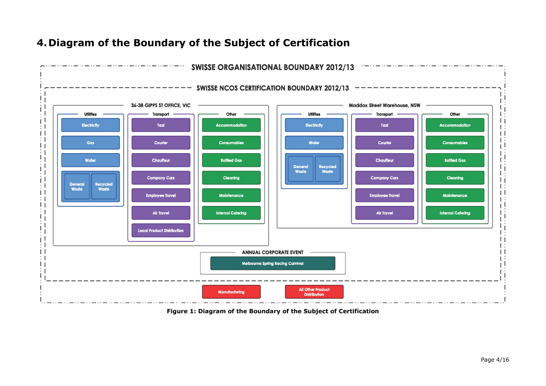

### **4.Diagram of the Boundary of the Subject of Certification**

**Figure 1: Diagram of the Boundary of the Subject of Certification**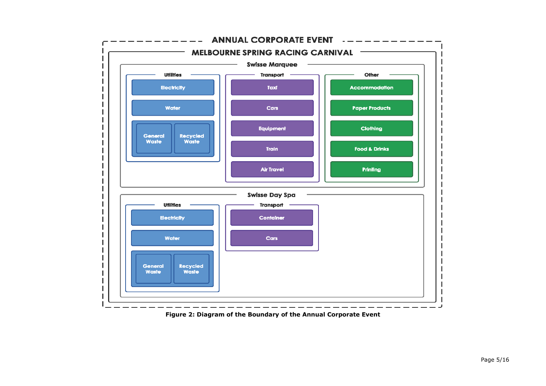

**Figure 2: Diagram of the Boundary of the Annual Corporate Event**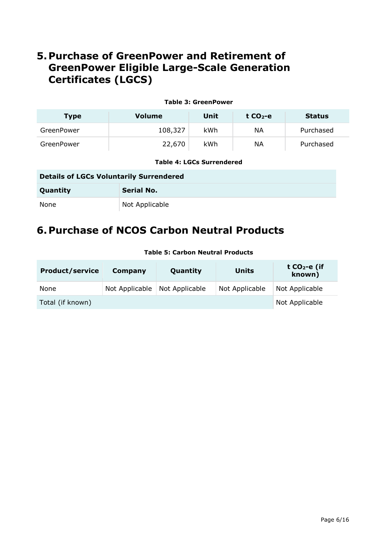### **5.Purchase of GreenPower and Retirement of GreenPower Eligible Large-Scale Generation Certificates (LGCS)**

| <b>Table 3: GreenPower</b> |         |      |           |               |  |  |  |  |  |  |
|----------------------------|---------|------|-----------|---------------|--|--|--|--|--|--|
| <b>Type</b>                | Volume  | Unit | t $CO2-e$ | <b>Status</b> |  |  |  |  |  |  |
| GreenPower                 | 108,327 | kWh  | ΝA        | Purchased     |  |  |  |  |  |  |
| GreenPower                 | 22,670  | kWh  | ΝA        | Purchased     |  |  |  |  |  |  |

#### **Table 4: LGCs Surrendered**

#### **Details of LGCs Voluntarily Surrendered**

| Quantity | <b>Serial No.</b> |
|----------|-------------------|
| None     | Not Applicable    |

### **6.Purchase of NCOS Carbon Neutral Products**

| <b>Product/service</b> | Company        | Quantity       | <b>Units</b>   | t $CO2$ -e (if<br>known) |
|------------------------|----------------|----------------|----------------|--------------------------|
| None                   | Not Applicable | Not Applicable | Not Applicable | Not Applicable           |
| Total (if known)       |                |                |                | Not Applicable           |

#### **Table 5: Carbon Neutral Products**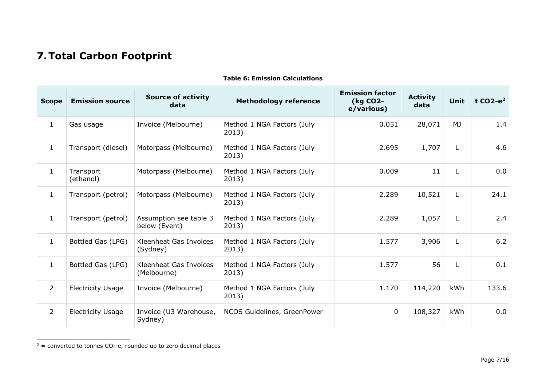# **7.Total Carbon Footprint**

| <b>Scope</b>   | <b>Emission source</b>   | <b>Source of activity</b><br>data       | <b>Methodology reference</b>        | <b>Emission factor</b><br>(kg CO2-<br>e/various) | <b>Activity</b><br>data | <b>Unit</b> | t $CO2-e^2$ |
|----------------|--------------------------|-----------------------------------------|-------------------------------------|--------------------------------------------------|-------------------------|-------------|-------------|
| $\mathbf{1}$   | Gas usage                | Invoice (Melbourne)                     | Method 1 NGA Factors (July<br>2013) | 0.051                                            | 28,071                  | <b>MJ</b>   | 1.4         |
| $\mathbf{1}$   | Transport (diesel)       | Motorpass (Melbourne)                   | Method 1 NGA Factors (July<br>2013) | 2.695                                            | 1,707                   | L           | 4.6         |
| $\mathbf{1}$   | Transport<br>(ethanol)   | Motorpass (Melbourne)                   | Method 1 NGA Factors (July<br>2013) | 0.009                                            | 11                      | L           | 0.0         |
| $\mathbf{1}$   | Transport (petrol)       | Motorpass (Melbourne)                   | Method 1 NGA Factors (July<br>2013) | 2.289                                            | 10,521                  | L           | 24.1        |
| $\mathbf{1}$   | Transport (petrol)       | Assumption see table 3<br>below (Event) | Method 1 NGA Factors (July<br>2013) | 2.289                                            | 1,057                   | L           | 2.4         |
| $\mathbf{1}$   | Bottled Gas (LPG)        | Kleenheat Gas Invoices<br>(Sydney)      | Method 1 NGA Factors (July<br>2013) | 1.577                                            | 3,906                   | L           | 6.2         |
| $\mathbf{1}$   | Bottled Gas (LPG)        | Kleenheat Gas Invoices<br>(Melbourne)   | Method 1 NGA Factors (July<br>2013) | 1.577                                            | 56                      | L           | 0.1         |
| $\overline{2}$ | <b>Electricity Usage</b> | Invoice (Melbourne)                     | Method 1 NGA Factors (July<br>2013) | 1.170                                            | 114,220                 | kWh         | 133.6       |
| $\overline{2}$ | <b>Electricity Usage</b> | Invoice (U3 Warehouse,<br>Sydney)       | NCOS Guidelines, GreenPower         | $\overline{0}$                                   | 108,327                 | kWh         | 0.0         |

#### **Table 6: Emission Calculations**

 $2$  = converted to tonnes CO<sub>2</sub>-e, rounded up to zero decimal places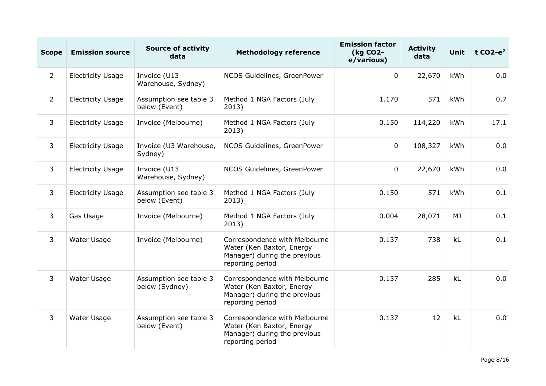| <b>Scope</b>   | <b>Emission source</b>   | <b>Source of activity</b><br>data        | <b>Methodology reference</b>                                                                                   | <b>Emission factor</b><br>(kg CO2-<br>e/various) | <b>Activity</b><br>data | <b>Unit</b> | t $CO2-e^2$ |
|----------------|--------------------------|------------------------------------------|----------------------------------------------------------------------------------------------------------------|--------------------------------------------------|-------------------------|-------------|-------------|
| $2^{\circ}$    | <b>Electricity Usage</b> | Invoice (U13<br>Warehouse, Sydney)       | NCOS Guidelines, GreenPower                                                                                    | $\mathbf 0$                                      | 22,670                  | kWh         | 0.0         |
| $\overline{2}$ | <b>Electricity Usage</b> | Assumption see table 3<br>below (Event)  | Method 1 NGA Factors (July<br>2013)                                                                            | 1.170                                            | 571                     | kWh         | 0.7         |
| 3              | <b>Electricity Usage</b> | Invoice (Melbourne)                      | Method 1 NGA Factors (July<br>2013)                                                                            | 0.150                                            | 114,220                 | kWh         | 17.1        |
| 3              | <b>Electricity Usage</b> | Invoice (U3 Warehouse,<br>Sydney)        | NCOS Guidelines, GreenPower                                                                                    | $\mathbf 0$                                      | 108,327                 | kWh         | 0.0         |
| 3              | <b>Electricity Usage</b> | Invoice (U13<br>Warehouse, Sydney)       | NCOS Guidelines, GreenPower                                                                                    | $\mathbf 0$                                      | 22,670                  | kWh         | 0.0         |
| 3              | <b>Electricity Usage</b> | Assumption see table 3<br>below (Event)  | Method 1 NGA Factors (July<br>2013)                                                                            | 0.150                                            | 571                     | kWh         | 0.1         |
| $\overline{3}$ | Gas Usage                | Invoice (Melbourne)                      | Method 1 NGA Factors (July<br>2013)                                                                            | 0.004                                            | 28,071                  | <b>MJ</b>   | 0.1         |
| $\overline{3}$ | Water Usage              | Invoice (Melbourne)                      | Correspondence with Melbourne<br>Water (Ken Baxtor, Energy<br>Manager) during the previous<br>reporting period | 0.137                                            | 738                     | kL          | 0.1         |
| 3              | Water Usage              | Assumption see table 3<br>below (Sydney) | Correspondence with Melbourne<br>Water (Ken Baxtor, Energy<br>Manager) during the previous<br>reporting period | 0.137                                            | 285                     | kL          | 0.0         |
| 3              | Water Usage              | Assumption see table 3<br>below (Event)  | Correspondence with Melbourne<br>Water (Ken Baxtor, Energy<br>Manager) during the previous<br>reporting period | 0.137                                            | 12                      | kL          | 0.0         |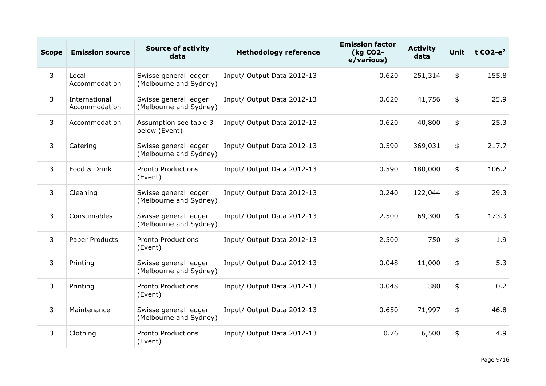| <b>Scope</b> | <b>Emission source</b>         | <b>Source of activity</b><br>data               | <b>Methodology reference</b> | <b>Emission factor</b><br>(kg CO2-<br>e/various) | <b>Activity</b><br>data | Unit | t $CO2-e^2$ |
|--------------|--------------------------------|-------------------------------------------------|------------------------------|--------------------------------------------------|-------------------------|------|-------------|
| $\mathbf{3}$ | Local<br>Accommodation         | Swisse general ledger<br>(Melbourne and Sydney) | Input/ Output Data 2012-13   | 0.620                                            | 251,314                 | \$   | 155.8       |
| $\mathbf{3}$ | International<br>Accommodation | Swisse general ledger<br>(Melbourne and Sydney) | Input/ Output Data 2012-13   | 0.620                                            | 41,756                  | \$   | 25.9        |
| 3            | Accommodation                  | Assumption see table 3<br>below (Event)         | Input/ Output Data 2012-13   | 0.620                                            | 40,800                  | \$   | 25.3        |
| 3            | Catering                       | Swisse general ledger<br>(Melbourne and Sydney) | Input/ Output Data 2012-13   | 0.590                                            | 369,031                 | \$   | 217.7       |
| 3            | Food & Drink                   | <b>Pronto Productions</b><br>(Event)            | Input/ Output Data 2012-13   | 0.590                                            | 180,000                 | \$   | 106.2       |
| 3            | Cleaning                       | Swisse general ledger<br>(Melbourne and Sydney) | Input/ Output Data 2012-13   | 0.240                                            | 122,044                 | \$   | 29.3        |
| 3            | Consumables                    | Swisse general ledger<br>(Melbourne and Sydney) | Input/ Output Data 2012-13   | 2.500                                            | 69,300                  | \$   | 173.3       |
| 3            | Paper Products                 | <b>Pronto Productions</b><br>(Event)            | Input/ Output Data 2012-13   | 2.500                                            | 750                     | \$   | 1.9         |
| 3            | Printing                       | Swisse general ledger<br>(Melbourne and Sydney) | Input/ Output Data 2012-13   | 0.048                                            | 11,000                  | \$   | 5.3         |
| 3            | Printing                       | <b>Pronto Productions</b><br>(Event)            | Input/ Output Data 2012-13   | 0.048                                            | 380                     | \$   | 0.2         |
| $\mathbf{3}$ | Maintenance                    | Swisse general ledger<br>(Melbourne and Sydney) | Input/ Output Data 2012-13   | 0.650                                            | 71,997                  | \$   | 46.8        |
| 3            | Clothing                       | <b>Pronto Productions</b><br>(Event)            | Input/ Output Data 2012-13   | 0.76                                             | 6,500                   | \$   | 4.9         |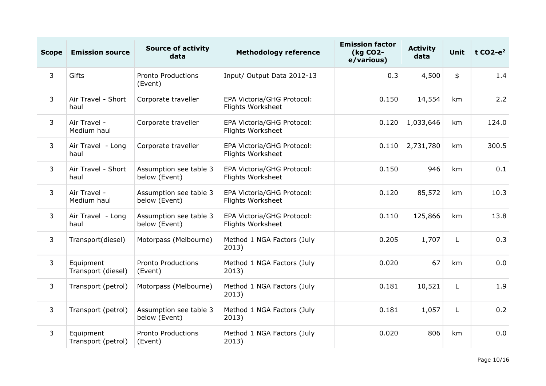| <b>Scope</b>   | <b>Emission source</b>          | <b>Source of activity</b><br>data       | <b>Methodology reference</b>                    | <b>Emission factor</b><br>(kg CO2-<br>e/various) | <b>Activity</b><br>data | <b>Unit</b> | t $CO2-e^2$ |
|----------------|---------------------------------|-----------------------------------------|-------------------------------------------------|--------------------------------------------------|-------------------------|-------------|-------------|
| $\overline{3}$ | Gifts                           | <b>Pronto Productions</b><br>(Event)    | Input/ Output Data 2012-13                      | 0.3                                              | 4,500                   | \$          | 1.4         |
| 3              | Air Travel - Short<br>haul      | Corporate traveller                     | EPA Victoria/GHG Protocol:<br>Flights Worksheet | 0.150                                            | 14,554                  | km          | 2.2         |
| 3              | Air Travel -<br>Medium haul     | Corporate traveller                     | EPA Victoria/GHG Protocol:<br>Flights Worksheet | 0.120                                            | 1,033,646               | km          | 124.0       |
| $\mathsf{3}$   | Air Travel - Long<br>haul       | Corporate traveller                     | EPA Victoria/GHG Protocol:<br>Flights Worksheet | 0.110                                            | 2,731,780               | km          | 300.5       |
| 3              | Air Travel - Short<br>haul      | Assumption see table 3<br>below (Event) | EPA Victoria/GHG Protocol:<br>Flights Worksheet | 0.150                                            | 946                     | km          | 0.1         |
| $\overline{3}$ | Air Travel -<br>Medium haul     | Assumption see table 3<br>below (Event) | EPA Victoria/GHG Protocol:<br>Flights Worksheet | 0.120                                            | 85,572                  | km          | 10.3        |
| 3              | Air Travel - Long<br>haul       | Assumption see table 3<br>below (Event) | EPA Victoria/GHG Protocol:<br>Flights Worksheet | 0.110                                            | 125,866                 | km          | 13.8        |
| 3              | Transport(diesel)               | Motorpass (Melbourne)                   | Method 1 NGA Factors (July<br>2013)             | 0.205                                            | 1,707                   | L           | 0.3         |
| 3              | Equipment<br>Transport (diesel) | <b>Pronto Productions</b><br>(Event)    | Method 1 NGA Factors (July<br>2013)             | 0.020                                            | 67                      | km          | 0.0         |
| $\overline{3}$ | Transport (petrol)              | Motorpass (Melbourne)                   | Method 1 NGA Factors (July<br>2013)             | 0.181                                            | 10,521                  | L           | 1.9         |
| $\overline{3}$ | Transport (petrol)              | Assumption see table 3<br>below (Event) | Method 1 NGA Factors (July<br>2013)             | 0.181                                            | 1,057                   | L           | 0.2         |
| $\overline{3}$ | Equipment<br>Transport (petrol) | <b>Pronto Productions</b><br>(Event)    | Method 1 NGA Factors (July<br>2013)             | 0.020                                            | 806                     | km          | 0.0         |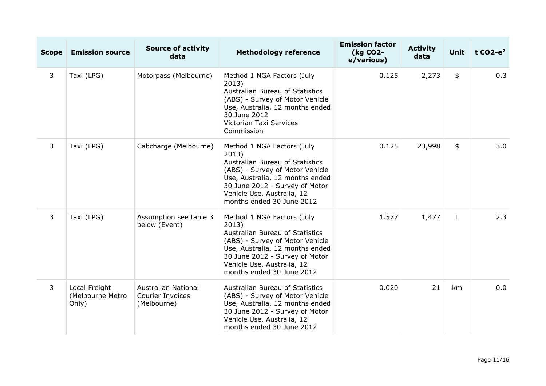| <b>Scope</b>   | <b>Emission source</b>                     | <b>Source of activity</b><br>data                                    | <b>Methodology reference</b>                                                                                                                                                                                                              | <b>Emission factor</b><br>(kg CO2-<br>e/various) | <b>Activity</b><br>data | <b>Unit</b> | t $CO2-e^2$ |
|----------------|--------------------------------------------|----------------------------------------------------------------------|-------------------------------------------------------------------------------------------------------------------------------------------------------------------------------------------------------------------------------------------|--------------------------------------------------|-------------------------|-------------|-------------|
| 3              | Taxi (LPG)                                 | Motorpass (Melbourne)                                                | Method 1 NGA Factors (July<br>2013)<br>Australian Bureau of Statistics<br>(ABS) - Survey of Motor Vehicle<br>Use, Australia, 12 months ended<br>30 June 2012<br>Victorian Taxi Services<br>Commission                                     | 0.125                                            | 2,273                   | \$          | 0.3         |
| 3              | Taxi (LPG)                                 | Cabcharge (Melbourne)                                                | Method 1 NGA Factors (July<br>2013)<br>Australian Bureau of Statistics<br>(ABS) - Survey of Motor Vehicle<br>Use, Australia, 12 months ended<br>30 June 2012 - Survey of Motor<br>Vehicle Use, Australia, 12<br>months ended 30 June 2012 | 0.125                                            | 23,998                  | \$          | 3.0         |
| $\overline{3}$ | Taxi (LPG)                                 | Assumption see table 3<br>below (Event)                              | Method 1 NGA Factors (July<br>2013)<br>Australian Bureau of Statistics<br>(ABS) - Survey of Motor Vehicle<br>Use, Australia, 12 months ended<br>30 June 2012 - Survey of Motor<br>Vehicle Use, Australia, 12<br>months ended 30 June 2012 | 1.577                                            | 1,477                   | L           | 2.3         |
| 3              | Local Freight<br>(Melbourne Metro<br>Only) | <b>Australian National</b><br><b>Courier Invoices</b><br>(Melbourne) | Australian Bureau of Statistics<br>(ABS) - Survey of Motor Vehicle<br>Use, Australia, 12 months ended<br>30 June 2012 - Survey of Motor<br>Vehicle Use, Australia, 12<br>months ended 30 June 2012                                        | 0.020                                            | 21                      | km          | 0.0         |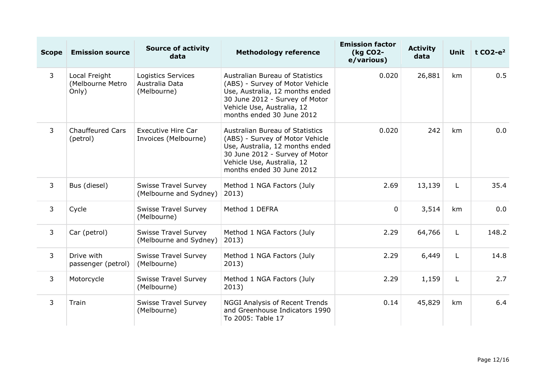| <b>Scope</b>   | <b>Emission source</b>                     | <b>Source of activity</b><br>data                     | <b>Methodology reference</b>                                                                                                                                                                              | <b>Emission factor</b><br>(kg CO2-<br>e/various) | <b>Activity</b><br>data | <b>Unit</b>  | t $CO2-e^2$ |
|----------------|--------------------------------------------|-------------------------------------------------------|-----------------------------------------------------------------------------------------------------------------------------------------------------------------------------------------------------------|--------------------------------------------------|-------------------------|--------------|-------------|
| 3              | Local Freight<br>(Melbourne Metro<br>Only) | Logistics Services<br>Australia Data<br>(Melbourne)   | <b>Australian Bureau of Statistics</b><br>(ABS) - Survey of Motor Vehicle<br>Use, Australia, 12 months ended<br>30 June 2012 - Survey of Motor<br>Vehicle Use, Australia, 12<br>months ended 30 June 2012 | 0.020                                            | 26,881                  | km           | 0.5         |
| 3              | <b>Chauffeured Cars</b><br>(petrol)        | <b>Executive Hire Car</b><br>Invoices (Melbourne)     | <b>Australian Bureau of Statistics</b><br>(ABS) - Survey of Motor Vehicle<br>Use, Australia, 12 months ended<br>30 June 2012 - Survey of Motor<br>Vehicle Use, Australia, 12<br>months ended 30 June 2012 | 0.020                                            | 242                     | km           | 0.0         |
| 3              | Bus (diesel)                               | <b>Swisse Travel Survey</b><br>(Melbourne and Sydney) | Method 1 NGA Factors (July<br>2013)                                                                                                                                                                       | 2.69                                             | 13,139                  | L            | 35.4        |
| 3              | Cycle                                      | <b>Swisse Travel Survey</b><br>(Melbourne)            | Method 1 DEFRA                                                                                                                                                                                            | $\Omega$                                         | 3,514                   | km           | 0.0         |
| 3              | Car (petrol)                               | <b>Swisse Travel Survey</b><br>(Melbourne and Sydney) | Method 1 NGA Factors (July<br>2013)                                                                                                                                                                       | 2.29                                             | 64,766                  | $\mathsf{L}$ | 148.2       |
| $\overline{3}$ | Drive with<br>passenger (petrol)           | <b>Swisse Travel Survey</b><br>(Melbourne)            | Method 1 NGA Factors (July<br>2013)                                                                                                                                                                       | 2.29                                             | 6,449                   | $\mathsf{L}$ | 14.8        |
| 3              | Motorcycle                                 | <b>Swisse Travel Survey</b><br>(Melbourne)            | Method 1 NGA Factors (July<br>2013)                                                                                                                                                                       | 2.29                                             | 1,159                   | L            | 2.7         |
| $\overline{3}$ | Train                                      | <b>Swisse Travel Survey</b><br>(Melbourne)            | <b>NGGI Analysis of Recent Trends</b><br>and Greenhouse Indicators 1990<br>To 2005: Table 17                                                                                                              | 0.14                                             | 45,829                  | km           | 6.4         |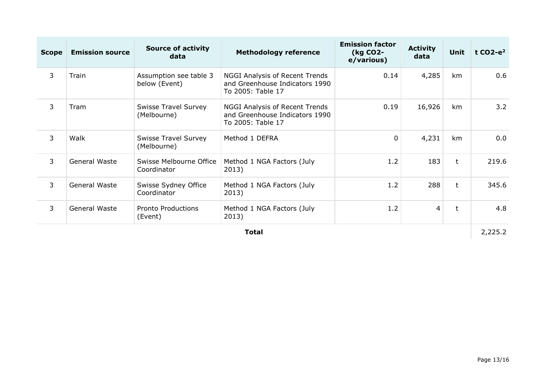| <b>Scope</b> | <b>Emission source</b> | <b>Source of activity</b><br>data          | <b>Methodology reference</b>                                                          | <b>Emission factor</b><br>(kg CO2-<br>e/various) | <b>Activity</b><br>data | <b>Unit</b>  | t $CO2-e^2$ |
|--------------|------------------------|--------------------------------------------|---------------------------------------------------------------------------------------|--------------------------------------------------|-------------------------|--------------|-------------|
| 3            | Train                  | Assumption see table 3<br>below (Event)    | NGGI Analysis of Recent Trends<br>and Greenhouse Indicators 1990<br>To 2005: Table 17 | 0.14                                             | 4,285                   | km           | 0.6         |
| 3            | Tram                   | <b>Swisse Travel Survey</b><br>(Melbourne) | NGGI Analysis of Recent Trends<br>and Greenhouse Indicators 1990<br>To 2005: Table 17 | 0.19                                             | 16,926                  | km           | 3.2         |
| 3            | Walk                   | <b>Swisse Travel Survey</b><br>(Melbourne) | Method 1 DEFRA                                                                        | $\mathbf 0$                                      | 4,231                   | km           | 0.0         |
| 3            | General Waste          | Swisse Melbourne Office<br>Coordinator     | Method 1 NGA Factors (July<br>2013)                                                   | 1.2                                              | 183                     | t            | 219.6       |
| 3            | General Waste          | Swisse Sydney Office<br>Coordinator        | Method 1 NGA Factors (July<br>2013)                                                   | 1.2                                              | 288                     | $\mathsf{t}$ | 345.6       |
| 3            | General Waste          | <b>Pronto Productions</b><br>(Event)       | Method 1 NGA Factors (July<br>2013)                                                   | 1.2                                              | $\overline{4}$          | t            | 4.8         |
|              |                        |                                            | <b>Total</b>                                                                          |                                                  |                         |              | 2,225.2     |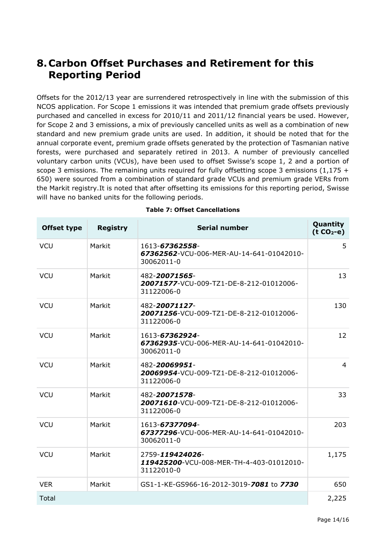### **8.Carbon Offset Purchases and Retirement for this Reporting Period**

Offsets for the 2012/13 year are surrendered retrospectively in line with the submission of this NCOS application. For Scope 1 emissions it was intended that premium grade offsets previously purchased and cancelled in excess for 2010/11 and 2011/12 financial years be used. However, for Scope 2 and 3 emissions, a mix of previously cancelled units as well as a combination of new standard and new premium grade units are used. In addition, it should be noted that for the annual corporate event, premium grade offsets generated by the protection of Tasmanian native forests, were purchased and separately retired in 2013. A number of previously cancelled voluntary carbon units (VCUs), have been used to offset Swisse's scope 1, 2 and a portion of scope 3 emissions. The remaining units required for fully offsetting scope 3 emissions  $(1,175 +$ 650) were sourced from a combination of standard grade VCUs and premium grade VERs from the Markit registry.It is noted that after offsetting its emissions for this reporting period, Swisse will have no banked units for the following periods.

| <b>Offset type</b> | <b>Registry</b> | <b>Serial number</b>                                                      | Quantity<br>$(t CO2-e)$ |
|--------------------|-----------------|---------------------------------------------------------------------------|-------------------------|
| <b>VCU</b>         | Markit          | 1613-67362558-<br>67362562-VCU-006-MER-AU-14-641-01042010-<br>30062011-0  | 5                       |
| <b>VCU</b>         | Markit          | 482-20071565-<br>20071577-VCU-009-TZ1-DE-8-212-01012006-<br>31122006-0    | 13                      |
| <b>VCU</b>         | Markit          | 482-20071127-<br>20071256-VCU-009-TZ1-DE-8-212-01012006-<br>31122006-0    | 130                     |
| <b>VCU</b>         | Markit          | 1613-67362924-<br>67362935-VCU-006-MER-AU-14-641-01042010-<br>30062011-0  | 12                      |
| <b>VCU</b>         | Markit          | 482-20069951-<br>20069954-VCU-009-TZ1-DE-8-212-01012006-<br>31122006-0    | $\overline{4}$          |
| <b>VCU</b>         | Markit          | 482-20071578-<br>20071610-VCU-009-TZ1-DE-8-212-01012006-<br>31122006-0    | 33                      |
| <b>VCU</b>         | Markit          | 1613-67377094-<br>67377296-VCU-006-MER-AU-14-641-01042010-<br>30062011-0  | 203                     |
| <b>VCU</b>         | Markit          | 2759-119424026-<br>119425200-VCU-008-MER-TH-4-403-01012010-<br>31122010-0 | 1,175                   |
| <b>VER</b>         | Markit          | GS1-1-KE-GS966-16-2012-3019-7081 to 7730                                  | 650                     |
| Total              |                 |                                                                           | 2,225                   |

#### **Table 7: Offset Cancellations**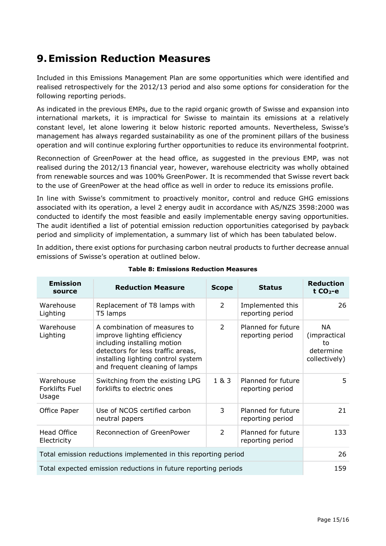### **9.Emission Reduction Measures**

Included in this Emissions Management Plan are some opportunities which were identified and realised retrospectively for the 2012/13 period and also some options for consideration for the following reporting periods.

As indicated in the previous EMPs, due to the rapid organic growth of Swisse and expansion into international markets, it is impractical for Swisse to maintain its emissions at a relatively constant level, let alone lowering it below historic reported amounts. Nevertheless, Swisse's management has always regarded sustainability as one of the prominent pillars of the business operation and will continue exploring further opportunities to reduce its environmental footprint.

Reconnection of GreenPower at the head office, as suggested in the previous EMP, was not realised during the 2012/13 financial year, however, warehouse electricity was wholly obtained from renewable sources and was 100% GreenPower. It is recommended that Swisse revert back to the use of GreenPower at the head office as well in order to reduce its emissions profile.

In line with Swisse's commitment to proactively monitor, control and reduce GHG emissions associated with its operation, a level 2 energy audit in accordance with AS/NZS 3598:2000 was conducted to identify the most feasible and easily implementable energy saving opportunities. The audit identified a list of potential emission reduction opportunities categorised by payback period and simplicity of implementation, a summary list of which has been tabulated below.

In addition, there exist options for purchasing carbon neutral products to further decrease annual emissions of Swisse's operation at outlined below.

| <b>Emission</b><br>source                                      | <b>Reduction Measure</b>                                                                                                                                                                                | <b>Scope</b>   | <b>Status</b>                          | <b>Reduction</b><br>$t CO2-e$                                 |  |
|----------------------------------------------------------------|---------------------------------------------------------------------------------------------------------------------------------------------------------------------------------------------------------|----------------|----------------------------------------|---------------------------------------------------------------|--|
| Warehouse<br>Lighting                                          | Replacement of T8 lamps with<br>T5 lamps                                                                                                                                                                | $\overline{2}$ | Implemented this<br>reporting period   | 26                                                            |  |
| Warehouse<br>Lighting                                          | A combination of measures to<br>improve lighting efficiency<br>including installing motion<br>detectors for less traffic areas,<br>installing lighting control system<br>and frequent cleaning of lamps | 2              | Planned for future<br>reporting period | <b>NA</b><br>(impractical<br>to<br>determine<br>collectively) |  |
| Warehouse<br><b>Forklifts Fuel</b><br>Usage                    | Switching from the existing LPG<br>forklifts to electric ones                                                                                                                                           | 1 & 3          | Planned for future<br>reporting period | 5.                                                            |  |
| Office Paper                                                   | Use of NCOS certified carbon<br>neutral papers                                                                                                                                                          | 3              | Planned for future<br>reporting period | 21                                                            |  |
| <b>Head Office</b><br>Electricity                              | Reconnection of GreenPower                                                                                                                                                                              | $\overline{2}$ | Planned for future<br>reporting period | 133                                                           |  |
| Total emission reductions implemented in this reporting period |                                                                                                                                                                                                         |                |                                        |                                                               |  |
| Total expected emission reductions in future reporting periods |                                                                                                                                                                                                         |                |                                        |                                                               |  |

#### **Table 8: Emissions Reduction Measures**